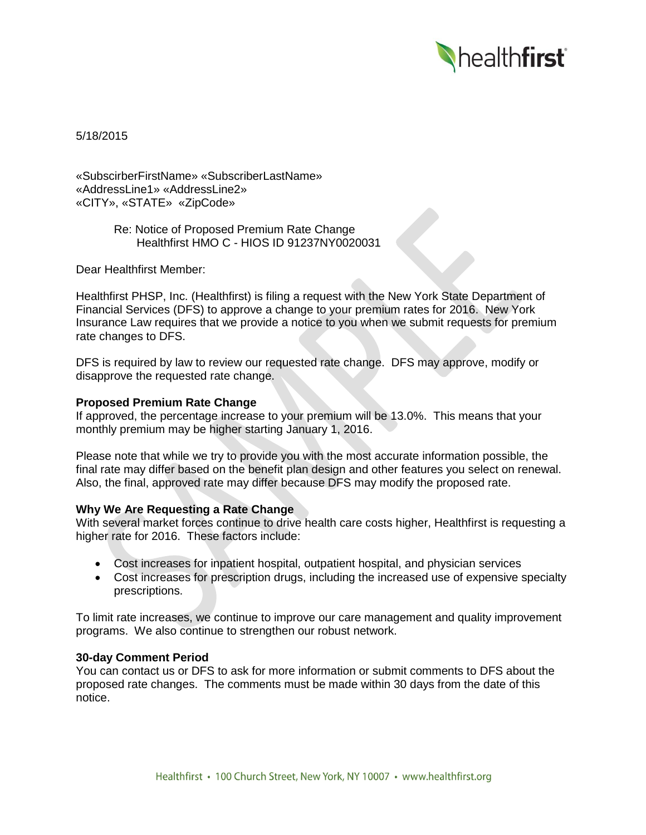

5/18/2015

«SubscirberFirstName» «SubscriberLastName» «AddressLine1» «AddressLine2» «CITY», «STATE» «ZipCode»

> Re: Notice of Proposed Premium Rate Change Healthfirst HMO C - HIOS ID 91237NY0020031

Dear Healthfirst Member:

Healthfirst PHSP, Inc. (Healthfirst) is filing a request with the New York State Department of Financial Services (DFS) to approve a change to your premium rates for 2016. New York Insurance Law requires that we provide a notice to you when we submit requests for premium rate changes to DFS.

DFS is required by law to review our requested rate change. DFS may approve, modify or disapprove the requested rate change.

## **Proposed Premium Rate Change**

If approved, the percentage increase to your premium will be 13.0%. This means that your monthly premium may be higher starting January 1, 2016.

Please note that while we try to provide you with the most accurate information possible, the final rate may differ based on the benefit plan design and other features you select on renewal. Also, the final, approved rate may differ because DFS may modify the proposed rate.

# **Why We Are Requesting a Rate Change**

With several market forces continue to drive health care costs higher, Healthfirst is requesting a higher rate for 2016. These factors include:

- Cost increases for inpatient hospital, outpatient hospital, and physician services
- Cost increases for prescription drugs, including the increased use of expensive specialty prescriptions.

To limit rate increases, we continue to improve our care management and quality improvement programs. We also continue to strengthen our robust network.

#### **30-day Comment Period**

You can contact us or DFS to ask for more information or submit comments to DFS about the proposed rate changes. The comments must be made within 30 days from the date of this notice.